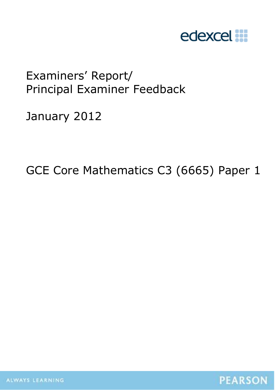

# Examiners' Report/ Principal Examiner Feedback

January 2012

GCE Core Mathematics C3 (6665) Paper 1

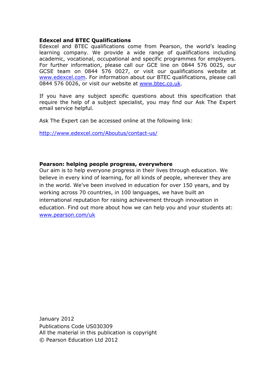#### **Edexcel and BTEC Qualifications**

Edexcel and BTEC qualifications come from Pearson, the world's leading learning company. We provide a wide range of qualifications including academic, vocational, occupational and specific programmes for employers. For further information, please call our GCE line on 0844 576 0025, our GCSE team on 0844 576 0027, or visit our qualifications website at www.edexcel.com. For information about our BTEC qualifications, please call 0844 576 0026, or visit our website at www.btec.co.uk.

If you have any subject specific questions about this specification that require the help of a subject specialist, you may find our Ask The Expert email service helpful.

Ask The Expert can be accessed online at the following link:

http://www.edexcel.com/Aboutus/contact-us/

#### **Pearson: helping people progress, everywhere**

Our aim is to help everyone progress in their lives through education. We believe in every kind of learning, for all kinds of people, wherever they are in the world. We've been involved in education for over 150 years, and by working across 70 countries, in 100 languages, we have built an international reputation for raising achievement through innovation in education. Find out more about how we can help you and your students at: www.pearson.com/uk

January 2012 Publications Code US030309 All the material in this publication is copyright © Pearson Education Ltd 2012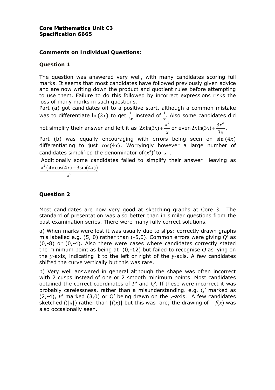#### **Core Mathematics Unit C3 Specification 6665**

## **Comments on Individual Questions:**

## **Question 1**

The question was answered very well, with many candidates scoring full marks. It seems that most candidates have followed previously given advice and are now writing down the product and quotient rules before attempting to use them. Failure to do this followed by incorrect expressions risks the loss of many marks in such questions.

Part (a) got candidates off to a positive start, although a common mistake was to differentiate  $\ln (3x)$  to get  $\frac{1}{3x}$  instead of  $\frac{1}{x}$ . Also some candidates did not simplify their answer and left it as  $2x\ln(3x) + \frac{x^2}{x^2}$  $+\ddot-$  or even  $2x\ln(3x) + \frac{3x^2}{3x}$  $+\frac{5\pi}{2}$ .

*x x* Part (b) was equally encouraging with errors being seen on  $sin(4x)$ differentiating to just  $cos(4x)$ . Worryingly however a large number of candidates simplified the denominator of  $(x^3)^2$  to  $x^5$ .

 Additionally some candidates failed to simplify their answer leaving as  $x^2 (4x \cos(4x) - 3\sin(4x))$ 

$$
\overline{x^6}
$$

## **Question 2**

Most candidates are now very good at sketching graphs at Core 3. The standard of presentation was also better than in similar questions from the past examination series. There were many fully correct solutions.

a) When marks were lost it was usually due to slips: correctly drawn graphs mis labelled e.g. (5, 0) rather than (-5,0). Common errors were giving *Q*' as (0,-8) or (0,-4). Also there were cases where candidates correctly stated the minimum point as being at (0,-12) but failed to recognise *Q* as lying on the *y*-axis, indicating it to the left or right of the *y*-axis. A few candidates shifted the curve vertically but this was rare.

b) Very well answered in general although the shape was often incorrect with 2 cusps instead of one or 2 smooth minimum points. Most candidates obtained the correct coordinates of *P*' and *Q*'. If these were incorrect it was probably carelessness, rather than a misunderstanding. e.g. *Q*' marked as (2,-4), *P*' marked (3,0) or Q' being drawn on the *y*-axis. A few candidates sketched  $f(|x|)$  rather than  $|f(x)|$  but this was rare; the drawing of  $-f(x)$  was also occasionally seen.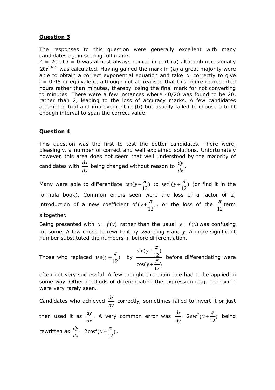#### **Question 3**

The responses to this question were generally excellent with many candidates again scoring full marks.

 $A = 20$  at  $t = 0$  was almost always gained in part (a) although occasionally  $20e^{1.5\times12}$  was calculated. Having gained the mark in (a) a great majority were able to obtain a correct exponential equation and take  $ln$  correctly to give *t* = 0.46 or equivalent, although not all realised that this figure represented hours rather than minutes, thereby losing the final mark for not converting to minutes. There were a few instances where 40/20 was found to be 20, rather than 2, leading to the loss of accuracy marks. A few candidates attempted trial and improvement in (b) but usually failed to choose a tight enough interval to span the correct value.

#### **Question 4**

This question was the first to test the better candidates. There were, pleasingly, a number of correct and well explained solutions. Unfortunately however, this area does not seem that well understood by the majority of candidates with  $\frac{dx}{dy}$  being changed without reason to  $\frac{dy}{dx}$ .

Many were able to differentiate  $tan(y+\frac{\pi}{12})$  to  $sec^2(y+\frac{\pi}{12})$  (or find it in the formula book). Common errors seen were the loss of a factor of 2, introduction of a new coefficient of $(y+\frac{\pi}{12})$ , or the loss of the  $\frac{\pi}{12}$ term altogether.

Being presented with  $x = f(y)$  rather than the usual  $y = f(x)$  was confusing for some. A few chose to rewrite it by swapping *x* and *y*. A more significant number substituted the numbers in before differentiation.

Those who replaced  $\tan(y+\frac{\pi}{12})$  by  $\frac{\sin(y+\frac{\pi}{12})}{\cos(y+\frac{\pi}{2})}$  $cos(y + \frac{\pi}{12})$ *y y* π π + + before differentiating were

often not very successful. A few thought the chain rule had to be applied in some way. Other methods of differentiating the expression (e.g. from  $tan^{-1}$ ) were very rarely seen.

Candidates who achieved *dx*  $\frac{dx}{dy}$  correctly, sometimes failed to invert it or just then used it as  $\frac{dy}{dx}$ . A very common error was  $\frac{dx}{dy} = 2\sec^2(y + \frac{\pi}{12})$  being rewritten as  $\frac{dy}{dx} = 2\cos^2(y + \frac{\pi}{12})$ .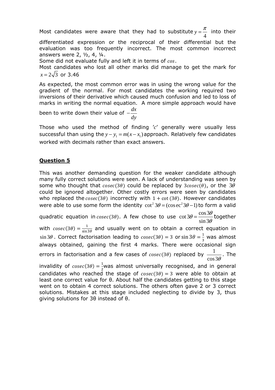Most candidates were aware that they had to substitute  $y = \frac{\pi}{4}$  into their differentiated expression or the reciprocal of their differential but the evaluation was too frequently incorrect. The most common incorrect answers were 2, ½, 4, ¼. Some did not evaluate fully and left it in terms of cos. Most candidates who lost all other marks did manage to get the mark for  $x = 2\sqrt{3}$  or 3.46

As expected, the most common error was in using the wrong value for the gradient of the normal. For most candidates the working required two inversions of their derivative which caused much confusion and led to loss of marks in writing the normal equation. A more simple approach would have

been to write down their value of  $-\frac{dx}{dx}$ *dy* −

Those who used the method of finding '*c*' generally were usually less successful than using the  $y - y_1 = m(x - x_1)$  approach. Relatively few candidates worked with decimals rather than exact answers.

# **Question 5**

This was another demanding question for the weaker candidate although many fully correct solutions were seen. A lack of understanding was seen by some who thought that  $cosec(3\theta)$  could be replaced by  $3cosec(\theta)$ , or the  $3\theta$ could be ignored altogether. Other costly errors were seen by candidates who replaced the  $cosec(3\theta)$  incorrectly with  $1 + \cot(3\theta)$ . However candidates were able to use some form the identity  $\cot^2 3\theta = (\csc^2 3\theta - 1)$  to form a valid quadratic equation in  $cosec(3\theta)$ . A few chose to use  $\cot 3\theta = \frac{\cos 3\theta}{\cos 3\theta}$ sin 3  $\theta = \frac{\cos 3\theta}{\sin 3\theta}$  together with  $cosec(3\theta) = \frac{1}{\sin 3\theta}$  and usually went on to obtain a correct equation in  $\sin 3\theta$ . Correct factorisation leading to  $\csc(3\theta) = 3$  or  $\sin 3\theta = \frac{1}{3}$  was almost always obtained, gaining the first 4 marks. There were occasional sign errors in factorisation and a few cases of  $\it cosec(3\theta)$  replaced by  $-{\hskip-2.5pt}\rule{0pt}{1.5pt}^1$  $\cos 3\theta$ . The invalidity of  $cosec(3\theta) = \frac{1}{2}$ was almost universally recognised, and in general candidates who reached the stage of  $cosec(3\theta) = 3$  were able to obtain at least one correct value for θ. About half the candidates getting to this stage went on to obtain 4 correct solutions. The others often gave 2 or 3 correct solutions. Mistakes at this stage included neglecting to divide by 3, thus giving solutions for 3θ instead of θ.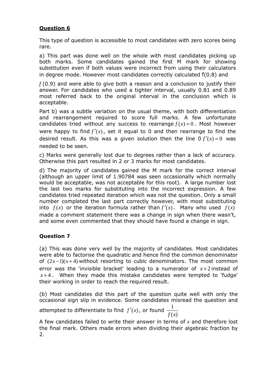## **Question 6**

This type of question is accessible to most candidates with zero scores being rare.

a) This part was done well on the whole with most candidates picking up both marks. Some candidates gained the first M mark for showing substitution even if both values were incorrect from using their calculators in degree mode. However most candidates correctly calculated *f*(0.8) and

*f* (0.9) and were able to give both a reason and a conclusion to justify their answer. For candidates who used a tighter interval, usually 0.81 and 0.89 most referred back to the original interval in the conclusion which is acceptable.

Part b) was a subtle variation on the usual theme, with both differentiation and rearrangement required to score full marks. A few unfortunate candidates tried without any success to rearrange  $f(x) = 0$ . Most however were happy to find  $f'(x)$ , set it equal to 0 and then rearrange to find the desired result. As this was a given solution then the line  $0 f'(x) = 0$  was needed to be seen.

c) Marks were generally lost due to degrees rather than a lack of accuracy. Otherwise this part resulted in 2 or 3 marks for most candidates.

d) The majority of candidates gained the M mark for the correct interval (although an upper limit of 1.90784 was seen occasionally which normally would be acceptable, was not acceptable for this root). A large number lost the last two marks for substituting into the incorrect expression. A few candidates tried repeated iteration which was not the question. Only a small number completed the last part correctly however, with most substituting into  $f(x)$  or the iteration formula rather than  $f'(x)$ . Many who used  $f(x)$ made a comment statement there was a change in sign when there wasn't, and some even commented that they should have found a change in sign.

## **Question 7**

(a) This was done very well by the majority of candidates. Most candidates were able to factorise the quadratic and hence find the common denominator of  $(2x-1)(x+4)$  without resorting to cubic denominators. The most common error was the 'invisible bracket' leading to a numerator of  $x+2$  instead of  $x+4$ . When they made this mistake candidates were tempted to 'fudge' their working in order to reach the required result.

(b) Most candidates did this part of the question quite well with only the occasional sign slip in evidence. Some candidates misread the question and

attempted to differentiate to find  $f'(x)$ , or found  $\frac{1}{x}$  $f(x)$ 

A few candidates failed to write their answer in terms of *x* and therefore lost the final mark. Others made errors when dividing their algebraic fraction by 2.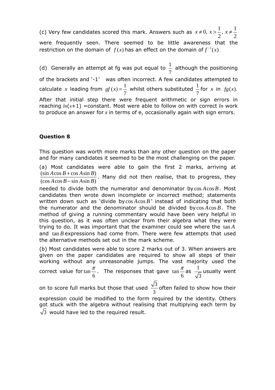(c) Very few candidates scored this mark. Answers such as  $x \neq 0$ ,  $x > \frac{1}{2}$ ,  $x \neq \frac{1}{2}$ were frequently seen. There seemed to be little awareness that the restriction on the domain of  $f(x)$  has an effect on the domain of  $f^{-1}(x)$ .

(d) Generally an attempt at fg was put equal to  $\frac{1}{1}$ 7 although the positioning of the brackets and '-1' was often incorrect. A few candidates attempted to calculate *x* leading from  $gf(x) = \frac{1}{7}$  whilst others substituted  $\frac{1}{7}$ for  $x$  in  $fg(x)$ . After that initial step there were frequent arithmetic or sign errors in reaching  $ln(x+1)$  =constant. Most were able to follow on with correct  $ln$  work to produce an answer for *x* in terms of e, occasionally again with sign errors.

#### **Question 8**

This question was worth more marks than any other question on the paper and for many candidates it seemed to be the most challenging on the paper.

(a) Most candidates were able to gain the first 2 marks, arriving at  $(\sin A \cos B + \cos A \sin B)$  $A\cos B + \cos A\sin B$ 

 $(\cos A \cos B - \sin A \sin B)$  $A\cos B - \sin A\sin B$  $\frac{+\cos A \sin B)}{-\sin A \sin B}$ . Many did not then realise, that to progress, they

needed to divide both the numerator and denominator by  $\cos A \cos B$ . Most candidates then wrote down incomplete or incorrect method; statements written down such as 'divide bycos  $A\cos B'$  instead of indicating that both the numerator and the denominator should be divided by  $\cos A \cos B$ . The method of giving a running commentary would have been very helpful in this question, as it was often unclear from their algebra what they were trying to do. It was important that the examiner could see where the tan *A* and tan *B* expressions had come from. There were few attempts that used the alternative methods set out in the mark scheme.

(b) Most candidates were able to score 2 marks out of 3. When answers are given on the paper candidates are required to show all steps of their working without any unreasonable jumps. The vast majority used the correct value for tan 6  $\frac{\pi}{2}$ . The responses that gave tan 6  $\frac{\pi}{2}$ as  $\frac{1}{\pi}$ 3 usually went

on to score full marks but those that used  $\frac{\sqrt{3}}{2}$ 3 often failed to show how their

expression could be modified to the form required by the identity. Others got stuck with the algebra without realising that multiplying each term by  $\sqrt{3}$  would have led to the required result.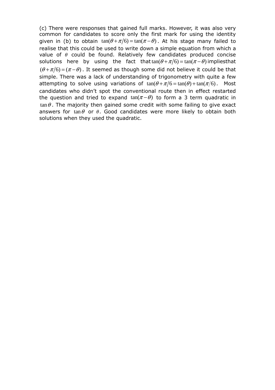(c) There were responses that gained full marks. However, it was also very common for candidates to score only the first mark for using the identity given in (b) to obtain  $tan(\theta + \pi/6) = tan(\pi - \theta)$ . At his stage many failed to realise that this could be used to write down a simple equation from which a value of  $\theta$  could be found. Relatively few candidates produced concise solutions here by using the fact that  $tan(\theta + \pi/6) = tan(\pi - \theta)$  impliesthat  $(\theta + \pi/6) = (\pi - \theta)$ . It seemed as though some did not believe it could be that simple. There was a lack of understanding of trigonometry with quite a few attempting to solve using variations of  $tan(\theta + \pi/6) = tan(\theta) + tan(\pi/6)$ . Most candidates who didn't spot the conventional route then in effect restarted the question and tried to expand  $tan(\pi - \theta)$  to form a 3 term quadratic in  $\tan \theta$ . The majority then gained some credit with some failing to give exact answers for tan $\theta$  or  $\theta$ . Good candidates were more likely to obtain both solutions when they used the quadratic.